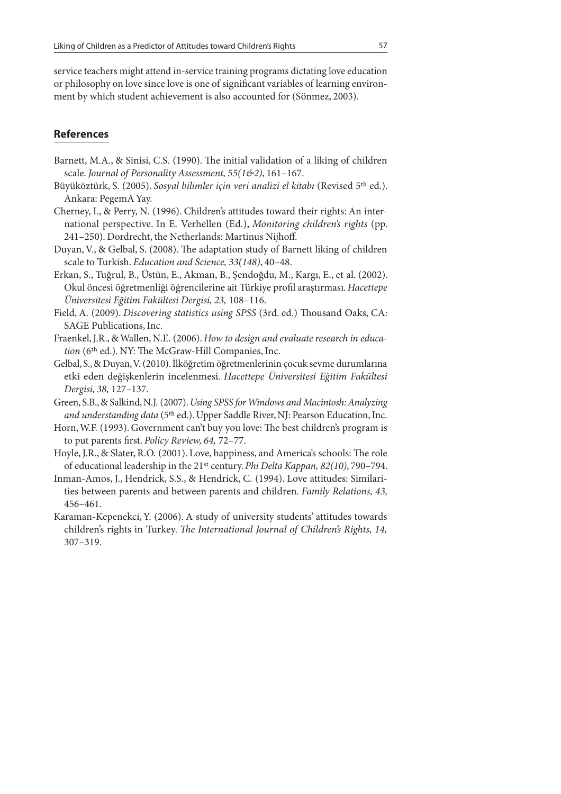service teachers might attend in-service training programs dictating love education or philosophy on love since love is one of significant variables of learning environment by which student achievement is also accounted for (Sönmez, 2003).

## **References**

- Barnett, M.A., & Sinisi, C.S.  $(1990)$ . The initial validation of a liking of children scale. Journal of Personality Assessment, 55(1&2), 161-167.
- Büyüköztürk, S. (2005). Sosyal bilimler için veri analizi el kitabı (Revised 5<sup>th</sup> ed.). Ankara: PegemA Yay.
- Cherney, I., & Perry, N. (1996). Children's attitudes toward their rights: An international perspective. In E. Verhellen (Ed.), Monitoring children's rights (pp. 241–250). Dordrecht, the Netherlands: Martinus Nijhoff.
- Duyan, V., & Gelbal, S. (2008). The adaptation study of Barnett liking of children scale to Turkish. Education and Science, 33(148), 40–48.
- Erkan, S., Tuğrul, B., Üstün, E., Akman, B., Şendoğdu, M., Kargı, E., et al. (2002). Okul öncesi öğretmenliği öğrencilerine ait Türkiye profil araştırması. Hacettepe Üniversitesi Eğitim Fakültesi Dergisi, 23, 108–116.
- Field, A. (2009). Discovering statistics using SPSS (3rd. ed.) Thousand Oaks, CA: SAGE Publications, Inc.
- Fraenkel, J.R., & Wallen, N.E. (2006). How to design and evaluate research in education (6<sup>th</sup> ed.). NY: The McGraw-Hill Companies, Inc.
- Gelbal, S., & Duyan, V. (2010). İlköğretim öğretmenlerinin çocuk sevme durumlarına etki eden değişkenlerin incelenmesi. Hacettepe Üniversitesi Eğitim Fakültesi Dergisi, 38, 127–137.
- Green, S.B., & Salkind, N.J. (2007). Using SPSS for Windows and Macintosh: Analyzing and understanding data (5<sup>th</sup> ed.). Upper Saddle River, NJ: Pearson Education, Inc.
- Horn, W.F. (1993). Government can't buy you love: The best children's program is to put parents first. Policy Review, 64, 72-77.
- Hoyle, J.R., & Slater, R.O. (2001). Love, happiness, and America's schools: The role of educational leadership in the 21<sup>st</sup> century. Phi Delta Kappan, 82(10), 790-794.
- Inman-Amos, J., Hendrick, S.S., & Hendrick, C. (1994). Love attitudes: Similarities between parents and between parents and children. Family Relations, 43, 456–461.
- Karaman-Kepenekci, Y. (2006). A study of university students' attitudes towards children's rights in Turkey. The International Journal of Children's Rights, 14, 307–319.